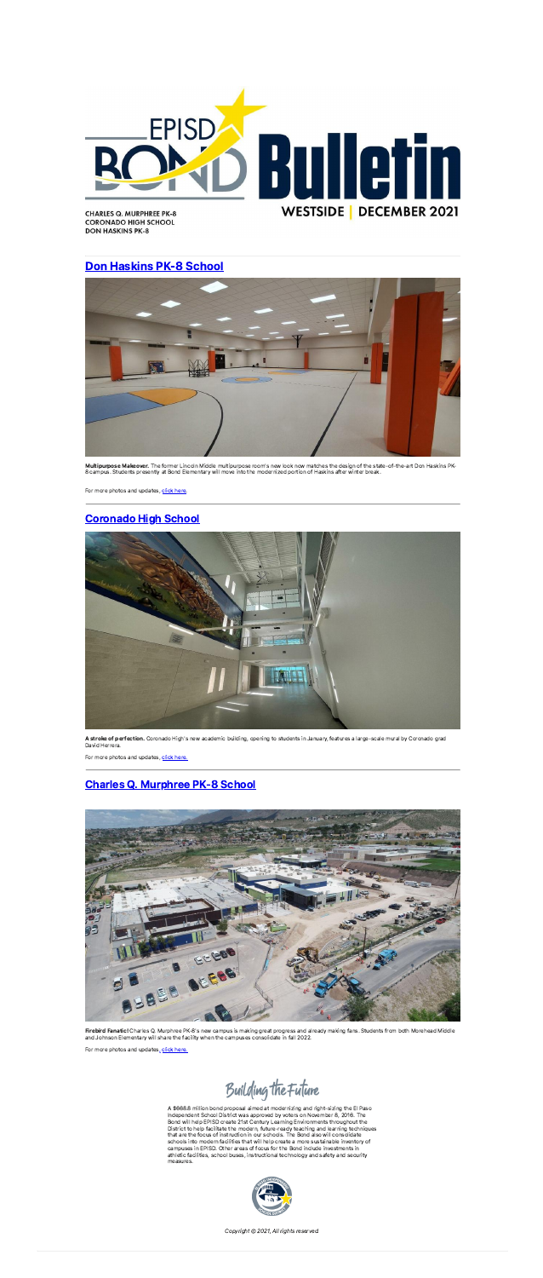

**CORONADO HIGH SCHOOL DON HASKINS PK-8** 

## [Don Haskins](https://linkprotect.cudasvc.com/url?a=https%3a%2f%2fwww.episd.org%2fPage%2f942&c=E,1,QpNu1qdwuhwK9ryenyBYbQEdlRsXXz3kGScQCRxpoz5o81FSPLjq5XVOGnYwZ7AQnubCu--1OSo-9eInXzBNn9jsqnj4hi827o0gkpNJUamBDA,,&typo=1) PK-8 School



Multipurpose Makeover. The former Lincoln Middle multipurpose room's new look now matches the design of the state-of-the-art Don Haskins PK-8 campus. Students presently at Bond Elementary will move into the modernized portion of Haskins after winter break.

For more photos and updates, [click](https://linkprotect.cudasvc.com/url?a=https%3a%2f%2fwww.episd.org%2fPage%2f942&c=E,1,l0SoP5GGvgT4J1y-AK_XN-c9jTyI80aLTchDZGPEF5qN35gur70PcIpxh_DdV6lO2L0wMnFNIns1Cozjrn4ysc0smCCT_1Ac_6n1Zs3mDYGk&typo=1) here.

A stroke of perfection. Coronado High's new academic building, opening to students in January, features a large-scale mural by Coronado grad David Herrera.

For more photos and updates, click [here.](https://linkprotect.cudasvc.com/url?a=https%3a%2f%2fwww.episd.org%2fPage%2f956&c=E,1,FRi6fHB1fHVd12q2UXY1b09ZdjCyzBclKay1z6Qe1R5kMM-tTWyxaejjrl83ca6KwXBqe85H6fQJTJ_XLwpv5-UmOvoq_hqptu72fhe4xLgBRVVaiR6Zz33I&typo=1)

## [Coronado High](https://linkprotect.cudasvc.com/url?a=https%3a%2f%2fwww.episd.org%2fPage%2f956&c=E,1,wrbfR-NIuKPIa7VWCX3Day0LQCQw55q3yxtqGmCQ9ncTspMKk6cXfzE_AdaIyXMTe3sHqL-7EIF-P1TcxfcVBHGluuSww3IH51R2eTizRcSrHnMrapCsawK4&typo=1) School





Firebird Fanatic! Charles Q. Murphree PK-8's new campus is making great progress and already making fans. Students from both Morehead Middle and Johnson Elementary will share the facility when the campuses consolidate in fall 2022.

For more photos and updates[,](https://linkprotect.cudasvc.com/url?a=https%3a%2f%2fwww.episd.org%2fPage%2f944&c=E,1,tnKQToQCllFD1n2eN23pEg_OIRIP2lJcgQH9WIT4o2CR2qhG51OCQakcIxI4xcVglT2EO0YBSuT9WDahqZ5aYQmZCw4B4pMn-aurabz4zYt5fNm7v7aH-CvEkPEx&typo=1) click [here.](https://linkprotect.cudasvc.com/url?a=https%3a%2f%2fwww.episd.org%2fPage%2f944&c=E,1,PDwoAfj2IZsCLKsFaTIBO2ZQsw0VwEn_z2ojEBmyxYaIrSbNA6qvxxS1vl7_fwn5QweLVJDE88ASNVhxjiItoGPvCLnOqhst3a2DdeP7M8q3FEV9QeYeqw,,&typo=1)

Building the Future

## Charles [Q. Murphree](https://linkprotect.cudasvc.com/url?a=https%3a%2f%2fwww.episd.org%2fPage%2f944&c=E,1,An5bXVRk5acuu55_7pF4PSUvYtddK0E2vMFR-ea9HqXzjhByJcwjRAxFyEPiFR2laUJRM44F2W1exZkRRBC0HCAL3iQvDk0C3HBIbr8hKGTejOzEQg19_60,&typo=1) PK-8 School

A \$668.8 million bond proposal aimed at modernizing and right-sizing the El Paso<br>Independent School District was approved by voters on November 8, 2016. The<br>Bond will help EPISD create 21st Century Learning Environments th that are the focus of instruction in our schools. The Bond also will consolidate<br>schools into modern facilities that will help create a more sustainable inventory of<br>campuses in EPISD. Other areas of focus for the Bond inc athletic facilities, school buses, instructional technology and safety and security measures.



Copyright © 2021, All rights reserved.